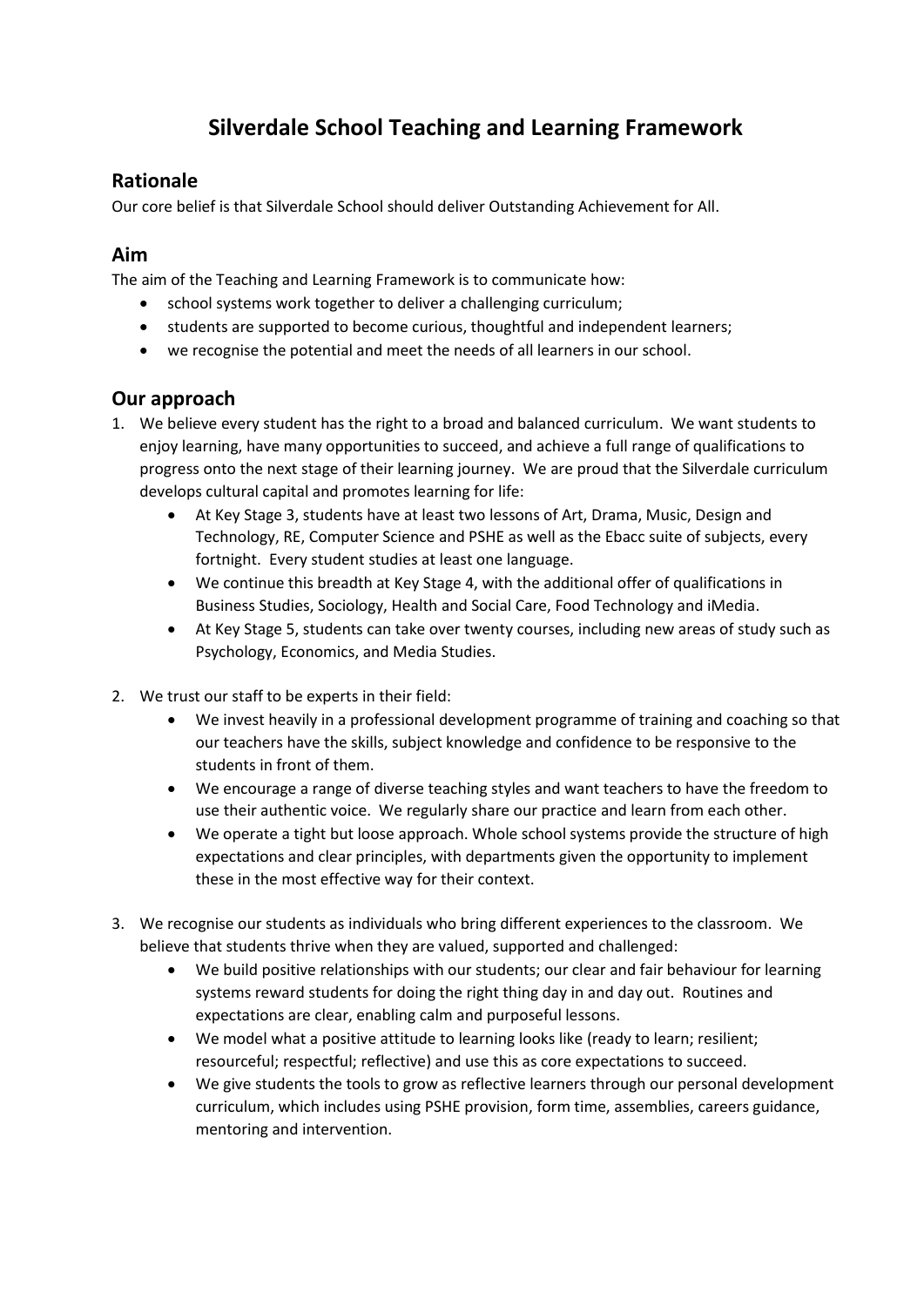# **Silverdale School Teaching and Learning Framework**

## **Rationale**

Our core belief is that Silverdale School should deliver Outstanding Achievement for All.

## **Aim**

The aim of the Teaching and Learning Framework is to communicate how:

- school systems work together to deliver a challenging curriculum;
- students are supported to become curious, thoughtful and independent learners;
- we recognise the potential and meet the needs of all learners in our school.

# **Our approach**

- 1. We believe every student has the right to a broad and balanced curriculum. We want students to enjoy learning, have many opportunities to succeed, and achieve a full range of qualifications to progress onto the next stage of their learning journey. We are proud that the Silverdale curriculum develops cultural capital and promotes learning for life:
	- At Key Stage 3, students have at least two lessons of Art, Drama, Music, Design and Technology, RE, Computer Science and PSHE as well as the Ebacc suite of subjects, every fortnight. Every student studies at least one language.
	- We continue this breadth at Key Stage 4, with the additional offer of qualifications in Business Studies, Sociology, Health and Social Care, Food Technology and iMedia.
	- At Key Stage 5, students can take over twenty courses, including new areas of study such as Psychology, Economics, and Media Studies.
- 2. We trust our staff to be experts in their field:
	- We invest heavily in a professional development programme of training and coaching so that our teachers have the skills, subject knowledge and confidence to be responsive to the students in front of them.
	- We encourage a range of diverse teaching styles and want teachers to have the freedom to use their authentic voice. We regularly share our practice and learn from each other.
	- We operate a tight but loose approach. Whole school systems provide the structure of high expectations and clear principles, with departments given the opportunity to implement these in the most effective way for their context.
- 3. We recognise our students as individuals who bring different experiences to the classroom. We believe that students thrive when they are valued, supported and challenged:
	- We build positive relationships with our students; our clear and fair behaviour for learning systems reward students for doing the right thing day in and day out. Routines and expectations are clear, enabling calm and purposeful lessons.
	- We model what a positive attitude to learning looks like (ready to learn; resilient; resourceful; respectful; reflective) and use this as core expectations to succeed.
	- We give students the tools to grow as reflective learners through our personal development curriculum, which includes using PSHE provision, form time, assemblies, careers guidance, mentoring and intervention.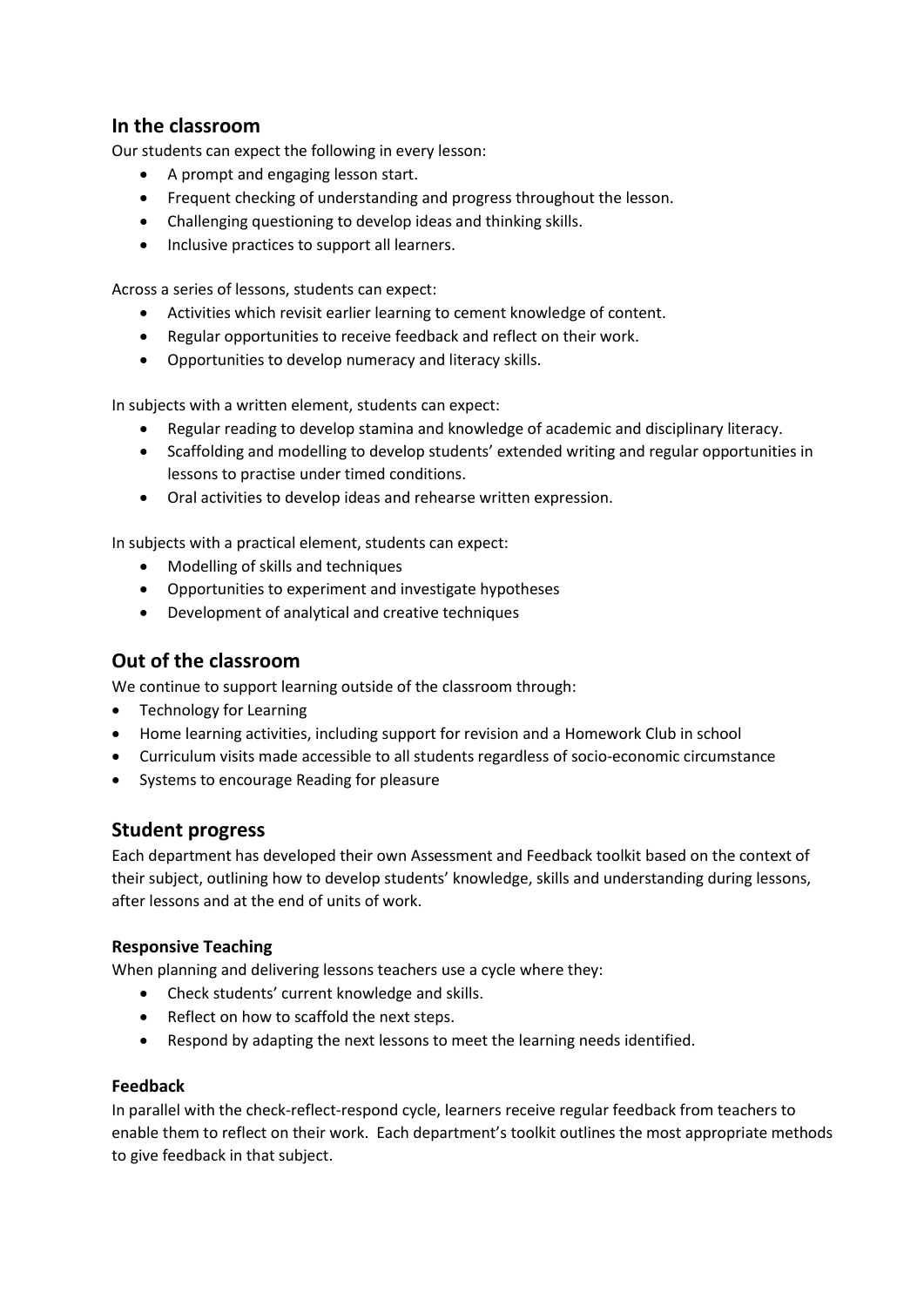## **In the classroom**

Our students can expect the following in every lesson:

- A prompt and engaging lesson start.
- Frequent checking of understanding and progress throughout the lesson.
- Challenging questioning to develop ideas and thinking skills.
- Inclusive practices to support all learners.

Across a series of lessons, students can expect:

- Activities which revisit earlier learning to cement knowledge of content.
- Regular opportunities to receive feedback and reflect on their work.
- Opportunities to develop numeracy and literacy skills.

In subjects with a written element, students can expect:

- Regular reading to develop stamina and knowledge of academic and disciplinary literacy.
- Scaffolding and modelling to develop students' extended writing and regular opportunities in lessons to practise under timed conditions.
- Oral activities to develop ideas and rehearse written expression.

In subjects with a practical element, students can expect:

- Modelling of skills and techniques
- Opportunities to experiment and investigate hypotheses
- Development of analytical and creative techniques

## **Out of the classroom**

We continue to support learning outside of the classroom through:

- Technology for Learning
- Home learning activities, including support for revision and a Homework Club in school
- Curriculum visits made accessible to all students regardless of socio-economic circumstance
- Systems to encourage Reading for pleasure

### **Student progress**

Each department has developed their own Assessment and Feedback toolkit based on the context of their subject, outlining how to develop students' knowledge, skills and understanding during lessons, after lessons and at the end of units of work.

#### **Responsive Teaching**

When planning and delivering lessons teachers use a cycle where they:

- Check students' current knowledge and skills.
- Reflect on how to scaffold the next steps.
- Respond by adapting the next lessons to meet the learning needs identified.

#### **Feedback**

In parallel with the check-reflect-respond cycle, learners receive regular feedback from teachers to enable them to reflect on their work. Each department's toolkit outlines the most appropriate methods to give feedback in that subject.